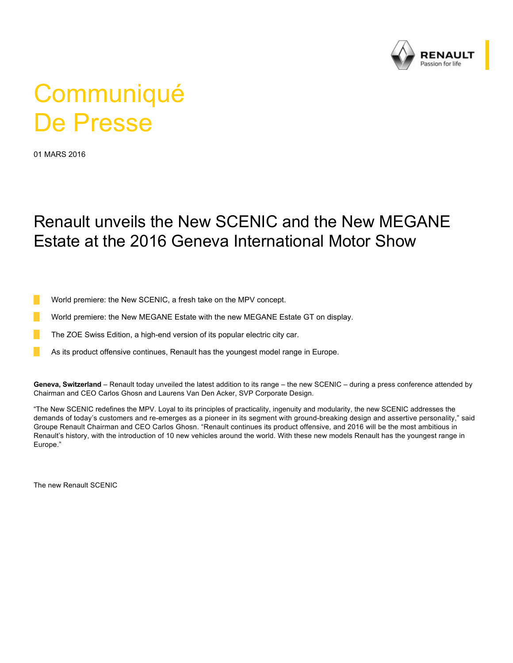

## **Communiqué** De Presse

01 MARS 2016

## Renault unveils the New SCENIC and the New MEGANE Estate at the 2016 Geneva International Motor Show

World premiere: the New SCENIC, a fresh take on the MPV concept.

World premiere: the New MEGANE Estate with the new MEGANE Estate GT on display.

The ZOE Swiss Edition, a high-end version of its popular electric city car.

As its product offensive continues, Renault has the youngest model range in Europe.

**Geneva, Switzerland** – Renault today unveiled the latest addition to its range – the new SCENIC – during a press conference attended by Chairman and CEO Carlos Ghosn and Laurens Van Den Acker, SVP Corporate Design.

"The New SCENIC redefines the MPV. Loyal to its principles of practicality, ingenuity and modularity, the new SCENIC addresses the demands of today's customers and re-emerges as a pioneer in its segment with ground-breaking design and assertive personality," said Groupe Renault Chairman and CEO Carlos Ghosn. "Renault continues its product offensive, and 2016 will be the most ambitious in Renault's history, with the introduction of 10 new vehicles around the world. With these new models Renault has the youngest range in Europe."

The new Renault SCENIC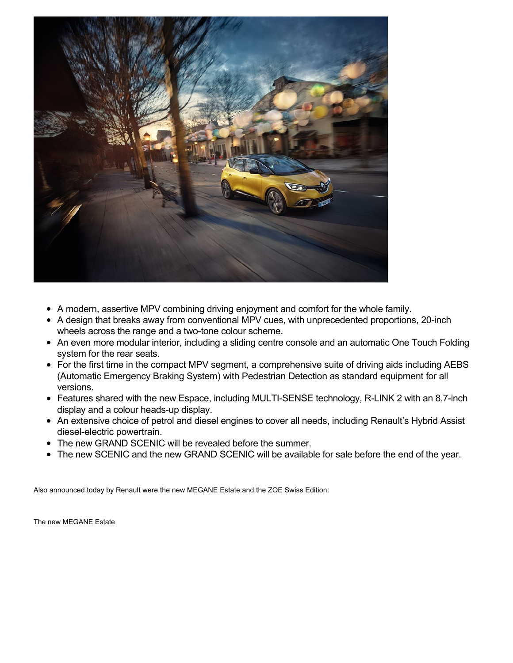

- A modern, assertive MPV combining driving enjoyment and comfort for the whole family.
- A design that breaks away from conventional MPV cues, with unprecedented proportions, 20-inch wheels across the range and a two-tone colour scheme.
- An even more modular interior, including a sliding centre console and an automatic One Touch Folding system for the rear seats.
- For the first time in the compact MPV segment, a comprehensive suite of driving aids including AEBS (Automatic Emergency Braking System) with Pedestrian Detection as standard equipment for all versions.
- Features shared with the new Espace, including MULTI-SENSE technology, R-LINK 2 with an 8.7-inch display and a colour heads-up display.
- An extensive choice of petrol and diesel engines to cover all needs, including Renault's Hybrid Assist diesel-electric powertrain.
- The new GRAND SCENIC will be revealed before the summer.
- The new SCENIC and the new GRAND SCENIC will be available for sale before the end of the year.

Also announced today by Renault were the new MEGANE Estate and the ZOE Swiss Edition:

The new MEGANE Estate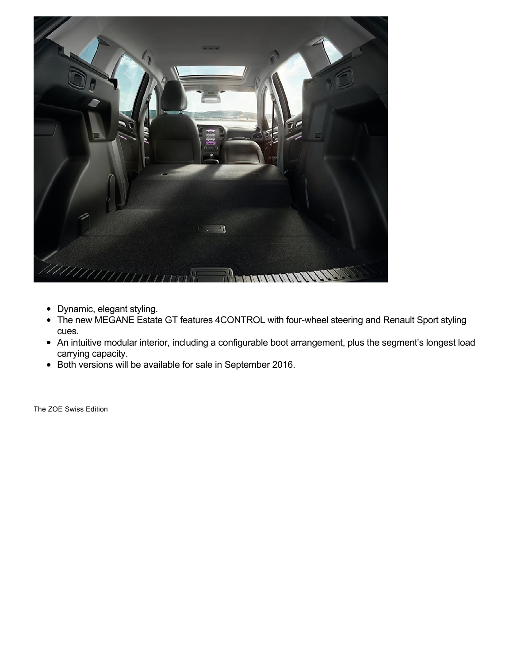

- Dynamic, elegant styling.
- The new MEGANE Estate GT features 4CONTROL with four-wheel steering and Renault Sport styling  $\bullet$ cues.
- An intuitive modular interior, including a configurable boot arrangement, plus the segment's longest load carrying capacity.
- Both versions will be available for sale in September 2016.

The ZOE Swiss Edition